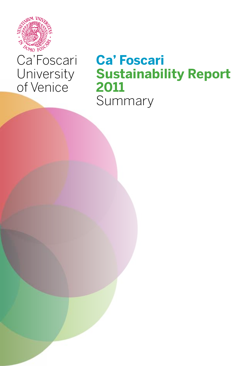

# Ca'Foscari **University** of Venice

# **Ca' Foscari Sustainability Report 2011** Summary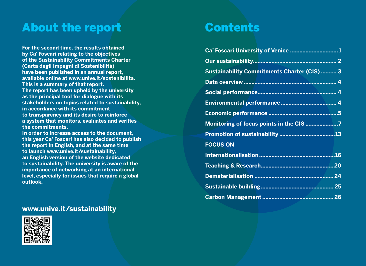# About the report

**For the second time, the results obtained by Ca' Foscari relating to the objectives of the Sustainability Commitments Charter (Carta degli Impegni di Sostenibilità) have been published in an annual report, available online at www.unive.it/sostenibilita. This is a summary of that report. The report has been upheld by the university as the principal tool for dialogue with its stakeholders on topics related to sustainability, in accordance with its commitment to transparency and its desire to reinforce a system that monitors, evaluates and verifies the commitments.** 

**In order to increase access to the document, this year Ca' Foscari has also decided to publish the report in English, and at the same time to launch www.unive.it/sustainability, an English version of the website dedicated to sustainability. The university is aware of the importance of networking at an international level, especially for issues that require a global outlook.**

### **www.unive.it/sustainability**



# Contents

| Ca' Foscari University of Venice 1                 |  |
|----------------------------------------------------|--|
|                                                    |  |
| <b>Sustainability Commitments Charter (CIS)  3</b> |  |
|                                                    |  |
|                                                    |  |
|                                                    |  |
|                                                    |  |
| Monitoring of focus points in the CIS 7            |  |
|                                                    |  |
| <b>FOCUS ON</b>                                    |  |
|                                                    |  |
|                                                    |  |
|                                                    |  |
|                                                    |  |
|                                                    |  |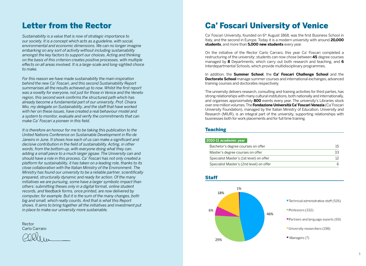## Letter from the Rector

*Sustainability is a value that is now of strategic importance to our society. It is a concept which acts as a guideline, with social, environmental and economic dimensions. We can no longer imagine embarking on any sort of activity without including sustainability amongst the key factors to support our choices. Acting and thinking on the basis of this criterion creates positive processes, with multiple effects on all areas involved. It is a large-scale and long-sighted choice to make.*

*For this reason we have made sustainability the main inspiration behind the new Ca' Foscari, and this second Sustainability Report summarises all the results achieved up to now. Whilst the first report was a novelty for everyone, not just for those in Venice and the Veneto region, this second work confirms the structured path which has already become a fundamental part of our university. Prof. Chiara Mio, my delegate on Sustainability, and the staff that have worked with her on these issues, have created a real behaviour model and a system to monitor, evaluate and verify the commitments that can make Ca' Foscari a pioneer in this field.*

*It is therefore an honour for me to be taking this publication to the United Nations Conference on Sustainable Development in Rio de Janeiro in June. It shows how each of us can make a significant and decisive contribution in the field of sustainability. Acting, in other words, from the bottom up, with everyone doing what they can, adding a small piece to a much larger jigsaw. The University can and should have a role in this process. Ca' Foscari has not only created a platform for sustainability, it has taken on a leading role, thanks to its close collaboration with the Italian Ministry of the Environment. The Ministry has found our university to be a reliable partner, scientifically prepared, structurally dynamic and ready for action. Of the many initiatives we are pursuing, some have a larger symbolic impact than others: submitting theses only in a digital format, online student records, and feedback forms, once printed, are now delivered by computer, for example. But it is the sum of the many changes, both big and small, which really counts. And that is what this Report shows. It aims to bring together all the initiatives and investment put in place to make our university more sustainable.*

Rector Carlo Carraro

# Ca' Foscari University of Venice

Ca' Foscari University, founded on 6<sup>th</sup> August 1868, was the first Business School in Italy, and the second in Europe. Today it is a modern university with around **20,000 students**, and more than **5,000 new students** every year.

On the initiative of the Rector Carlo Carraro, this year Ca' Foscari completed a restructuring of the university: students can now chose between **45** degree courses managed by **8** Departments, which carry out both research and teaching, and **6** Interdepartmental Schools, which provide multidisciplinary programmes.

In addition, the **Summer School**, the **Ca' Foscari Challenge School** and the **Doctorate School** manage summer courses and international exchanges, advanced training courses and doctorates respectively.

The university delivers research, consulting and training activities for third parties, has strong relationships with many cultural institutions, both nationally and internationally, and organises approximately **800** events every year. The university's Libraries stock over one million volumes. The **Fondazione Università Ca' Foscari Venezia** (Ca' Foscari University Foundation), managed by the Italian Ministry of Education, University and Research (MIUR), is an integral part of the university, supporting relationships with businesses both for work placements and for full time training.

#### **Teaching**

#### **2010-11 academic year**

| Bachelor's degree courses on offer       |     |
|------------------------------------------|-----|
| Master's degree courses on offer         | -33 |
| Specialist Master's (1st level) on offer |     |
| Specialist Master's (2nd level) on offer |     |



#### 1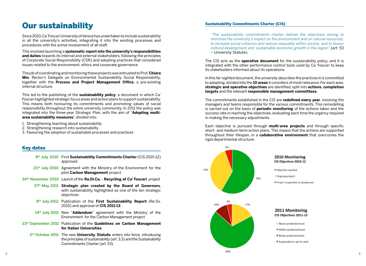# Our sustainability

Since 2010, Ca' Foscari University of Venice has undertaken to include sustainability in all the university's activities, integrating it into the existing processes and procedures with the active involvement of all staff.

This involved launching a **systematic report into the university's responsibilities and duties** towards its internal and external stakeholders, following the principles of Corporate Social Responsibility (CSR) and adopting practices that considered issues related to the environment, ethics and corporate governance.

The job of coordinating and monitoring these projects was entrusted to Prof. **Chiara Mio**, Rector's Delegate on Environmental Sustainability Social Responsibility, together with the **Process and Project Management Office**, a pre-existing internal structure.

This led to the publishing of the **sustainability policy**, a document in which Ca' Foscari highlighted strategic focus areas and action plans to support sustainability. This means both honouring its commitments and promoting values of social responsibility throughout the entire university community. In 2011 the policy was integrated into the three-year Strategic Plan, with the aim of "**Adopting multiarea sustainability measures**", divided into:

- 1. Strengthening teaching about sustainability
- 2. Strengthening research into sustainability
- 3. Favouring the adoption of sustainable processes and practices

#### Key dates

- **8th July 2010** First **Sustainability Commitments Charter** (CIS 2010-12) approved
- 23<sup>rd</sup> July 2010 Agreement with the Ministry of the Environment for the pilot **Carbon Management** project
- **24th November 2010** Launch of the **Ra.Di.Ca. Recycling at Ca' Foscari** project
	- **27th May 2011 Strategic plan created by the Board of Governors**, with sustainability highlighted as one of the ten strategic objectives
	- **8th July 2011** Publication of the **First Sustainability Report** (Re.So. 2010) and approval of **CIS 2011-13**
	- **14th July 2011** New "**Addendum**" agreement with the Ministry of the Environment for the Carbon Management project
- **23rd September 2011** Publication of the **Guidelines on Carbon Management for Italian Universities**
	- **2nd October 2011** The new **University Statute** enters into force, introducing the principles of sustainability (art. 3.3) and the Sustainability Commitments Charter (art. 53)

#### Sustainability Commitments Charter (CIS)

*"The sustainability commitments charter defines the objectives aiming to minimise the university's impact on the environment and on natural resources, to increase social cohesion and reduce inequality within society, and to favour cultural development and sustainable economic growth in the region"* (art. 53 – University Statute).

The CIS acts as the **operative document** for the sustainability policy, and it is integrated with the other performance control tools used by Ca' Foscari to keep its stakeholders informed about its operations.

In this far-sighted document, the university describes the practices it is committed to adopting, divided into the **10 areas** it considers of most relevance. For each area, **strategic and operative objectives** are identified, split into **actions**, **completion targets** and the relevant **responsible management committees**.

The commitments established in the CIS are **redefined every year**, involving the managers and teams responsible for the various commitments. This remodelling is carried out on the basis of **periodic monitoring** of the actions taken and the success rate in reaching the objectives, evaluating each time the urgency required in making the necessary adjustments.

Each objective is pursued through **multi-area projects** and through specific short- and medium-term action plans. This means that the actions are supported throughout their lifespan, in a **collaborative environment** that overcomes the rigid departmental structure.

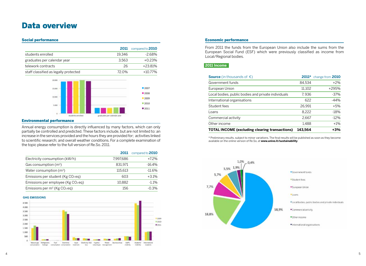## Data overview

#### Social performance

|                                       |        | <b>2011</b> compared to <b>2010</b> |
|---------------------------------------|--------|-------------------------------------|
| students enrolled                     | 19.346 | -2.68%                              |
| graduates per calendar year           | 3.563  | $+0.23%$                            |
| telework contracts                    | 26     | +23.81%                             |
| staff classified as legally protected | 72.0%  | $+10.77%$                           |



#### Environmental performance

Annual energy consumption is directly influenced by many factors, which can only partially be controlled and predicted. These factors include, but are not limited to: an increase in the services provided and the hours they are provided for; activities linked to scientific research; and overall weather conditions. For a complete examination of the topic please refer to the full version of Re.So. 2011.

|                                                      | 2011      | compared to 2010 |
|------------------------------------------------------|-----------|------------------|
| Electricity consumption (kW/h)                       | 7.997.686 | $+7.2%$          |
| Gas consumption $(m^3)$                              | 831.971   | $-16.4%$         |
| Water consumption $(m^3)$                            | 115,613   | $-11.6%$         |
| Emissions per student ( $Kg CO2eq$ )                 | 603       | $+3.1%$          |
| Emissions per employee (Kg CO <sub>2</sub> eq)       | 10.882    | $-1.1%$          |
| Emissions per m <sup>2</sup> (Kg CO <sub>2</sub> eq) | 156       | $-0.3%$          |

#### **GHG EMISSIONS**



#### Economic performance

From 2011 the funds from the European Union also include the sums from the European Social Fund (ESF) which were previously classified as income from Local/Regional bodies.

#### **2011 Income**

| <b>Source</b> (in thousands of $\epsilon$ )           |         | 2011* change from 2010 |
|-------------------------------------------------------|---------|------------------------|
| Government funds                                      | 84.534  | $+2\%$                 |
| European Union                                        | 11.102  | +295%                  |
| Local bodies, public bodies and private individuals   | 7,936   | $-37\%$                |
| International organisations                           | 622     | $-44%$                 |
| Student fees                                          | 26,991  | $+5%$                  |
| Loans                                                 | 8.222   | $-18%$                 |
| Commercial activity                                   | 2.667   | $-12%$                 |
| Other income                                          | 1,488   | $+1\%$                 |
| <b>TOTAL INCOME (excluding clearing transactions)</b> | 143.564 | $+3%$                  |

\* Preliminary results, subject to minor variations. The final results will be published as soon as they become available on the online version of Re.So, at **www.unive.it/sustainability**

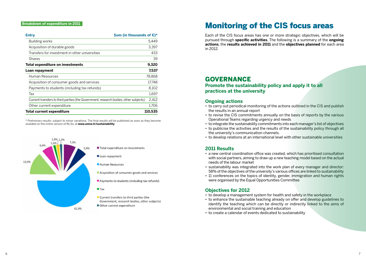#### **Breakdown of expenditure in 2011**

| Sum (in thousands of $\epsilon$ )*<br>Entry                                          |         |
|--------------------------------------------------------------------------------------|---------|
| Building works                                                                       | 5.449   |
| Acquisition of durable goods                                                         | 3,397   |
| Transfers for investment in other universities                                       | 433     |
| <b>Shares</b>                                                                        | 39      |
| Total expenditure on investments                                                     | 9,320   |
| Loan repayment                                                                       | 7,537   |
| Human Resources                                                                      | 78,868  |
| Acquisition of consumer goods and services                                           | 17.748  |
| Payments to students (including tax refunds)                                         | 8,102   |
| Tax                                                                                  | 1,697   |
| Current transfers to third parties (the Government, research bodies, other subjects) | 2,412   |
| Other current expenditure                                                            | 1.706   |
| <b>Total current expenditure</b>                                                     | 110,535 |

\* Preliminary results, subject to minor variations. The final results will be published as soon as they become available on the online version of Re.So, at **www.unive.it/sustainability**



61,9%

Other current expenditure

# Monitoring of the CIS focus areas

Each of the CIS focus areas has one or more strategic objectives, which will be pursued through **specific activities**. The following is a summary of the **ongoing actions**, the **results achieved in 2011** and the **objectives planned** for each area in 2012.

### **GOVERNANCE**

**Promote the sustainability policy and apply it to all practices at the university**

#### **Ongoing actions**

- to carry out periodical monitoring of the actions outlined in the CIS and publish the results in an annual report
- to revise the CIS commitments annually on the basis of reports by the various Operational Teams regarding urgency and needs
- to integrate the sustainability commitments into each manager's list of objectives
- to publicise the activities and the results of the sustainability policy through all the university's communication channels.
- to develop relations at an international level with other sustainable universities

#### **2011 Results**

- a new central coordination office was created, which has prioritised consultation with social partners, aiming to draw up a new teaching model based on the actual needs of the labour market
- sustainability was integrated into the work plan of every manager and director: 58% of the objectives of the university's various offices are linked to sustainability
- 11 conferences on the topics of identity, gender, immigration and human rights were organised by the Equal Opportunities Committee

#### **Objectives for 2012**

- to develop a management system for health and safety in the workplace
- to enhance the sustainable teaching already on offer and develop guidelines to identify the teaching which can be directly or indirectly linked to the aims of environmental and social training and education
- to create a calendar of events dedicated to sustainability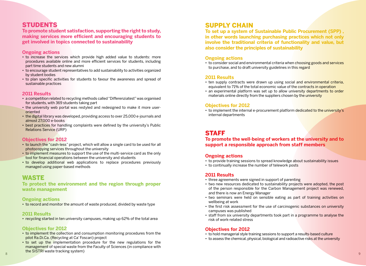### STUDENT

**To promote student satisfaction, supporting the right to study, making services more efficient and encouraging students to get involved in topics connected to sustainability**

#### **Ongoing actions**

- to increase the services which provide high added value to students: more procedures available online and more efficient services for students, including part time students and new alumni
- to encourage student representatives to add sustainability to activities organized by student bodies
- to plan specific activities for students to favour the awareness and spread of sustainable practices

#### **2011 Results**

- a competition related to recycling methods called "Differenziatest" was organised for students, with 369 students taking part
- the university web portal was restyled and redesigned to make it more useroriented
- the digital library was developed, providing access to over 25,000 e-journals and almost 27,000 e-books
- best practices for handling complaints were defined by the university's Public Relations Service (URP)

#### **Objectives for 2012**

- to launch the "cash-less" project, which will allow a single card to be used for all photocopying services throughout the university
- to implement measures to support the use of the multi-service card as the only tool for financial operations between the university and students
- to develop additional web applications to replace procedures previously managed using paper-based methods

### **WASTE**

#### **To protect the environment and the region through proper waste management**

#### **Ongoing actions**

• to record and monitor the amount of waste produced, divided by waste type

#### **2011 Results**

• recycling started in ten university campuses, making up 62% of the total area

#### **Objectives for 2012**

- to implement the collection and consumption monitoring procedures from the pilot Ra.Di.Ca. (Recycling at Ca' Foscari) project
- to set up the implementation procedure for the new regulations for the management of special waste from the Faculty of Sciences (in compliance with the SISTRI waste tracking system)

### **SUPPLY CHAIN**

**To set up a system of Sustainable Public Procurement (SPP) , in other words launching purchasing practices which not only involve the traditional criteria of functionality and value, but also consider the principles of sustainability** 

#### **Ongoing actions**

• to consider social and environmental criteria when choosing goods and services to purchase, and to draft university guidelines in this regard

#### **2011 Results**

- ten supply contracts were drawn up using social and environmental criteria, equivalent to 71% of the total economic value of the contracts in operation
- an experimental platform was set up to allow university departments to order materials online directly from the suppliers chosen by the university

#### **Objectives for 2012**

• to implement the internal e-procurement platform dedicated to the university's internal departments

### **STAFF**

#### **To promote the well-being of workers at the university and to support a responsible approach from staff members**

#### **Ongoing actions**

- to provide training sessions to spread knowledge about sustainability issues
- to continually increase the number of telework posts

#### **2011 Results**

- 
- three agreements were signed in support of parenting<br>• two new resources dedicated to sustainability projects were adopted, the post of the person responsible for the Carbon Management project was renewed, and there is now an Energy Manager
- two seminars were held on sensible eating as part of training activities on wellbeing at work
- the first risk assessment for the use of carcinogenic substances on university campuses was published
- staff from six university departments took part in a programme to analyse the risk of work-related stress

#### **Objectives for 2012**

- to hold managerial style training sessions to support a results-based culture
- to assess the chemical, physical, biological and radioactive risks at the university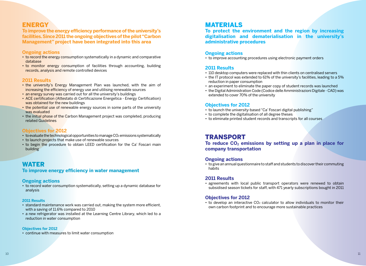### **ENERGY**

**To improve the energy efficiency performance of the university's facilities. Since 2011 the ongoing objectives of the pilot "Carbon Management" project have been integrated into this area**

#### **Ongoing actions**

- to record the energy consumption systematically in a dynamic and comparative database
- to monitor energy consumption of facilities through accounting, building records, analysis and remote controlled devices

#### **2011 Results**

- the university's Energy Management Plan was launched, with the aim of increasing the efficiency of energy use and utilising renewable sources
- an energy survey was carried out for all the university's buildings
- ACE certification (Attestato di Certificazione Energetica Energy Certification) was obtained for the new buildings
- the potential use of renewable energy sources in some parts of the university was evaluated
- the initial phase of the Carbon Management project was completed, producing related Guidelines

#### **Objectives for 2012**

- $\cdot$  to evaluate the technological opportunities to manage CO<sub>2</sub> emissions systematically
- to launch projects that make use of renewable sources
- to begin the procedure to obtain LEED certification for the Ca' Foscari main building

### **WATER**

#### **To improve energy efficiency in water management**

#### **Ongoing actions**

• to record water consumption systematically, setting up a dynamic database for analysis

#### **2011 Results**

- standard maintenance work was carried out, making the system more efficient, with a saving of 11.6% compared to 2010
- a new refrigerator was installed at the Learning Centre Library, which led to a reduction in water consumption

#### **Objectives for 2012**

• continue with measures to limit water consumption

### **MATERIALS**

**To protect the environment and the region by increasing digitalisation and dematerialisation in the university's administrative procedures**

#### **Ongoing actions**

• to improve accounting procedures using electronic payment orders

#### **2011 Results**

- 110 desktop computers were replaced with thin clients on centralised servers
- the IT protocol was extended to 61% of the university's facilities, leading to a 5% reduction in paper consumption
- an experiment to eliminate the paper copy of student records was launched
- the Digital Administration Code (Codice delle Amministrazioni Digitale CAD) was extended to cover 70% of the university

#### **Objectives for 2012**

- to launch the university-based "Ca' Foscari digital publishing"
- to complete the digitalisation of all degree theses
- to eliminate printed student records and transcripts for all courses

### **TRANSPORT**

To reduce CO<sub>2</sub> emissions by setting up a plan in place for **company transportation**

#### **Ongoing actions**

• to give an annual questionnaire to staff and students to discover their commuting habits

#### **2011 Results**

• agreements with local public transport operators were renewed to obtain subsidised season tickets for staff, with 471 yearly subscriptions bought in 2011

#### **Objectives for 2012**

• to develop an interactive CO2 calculator to allow individuals to monitor their own carbon footprint and to encourage more sustainable practices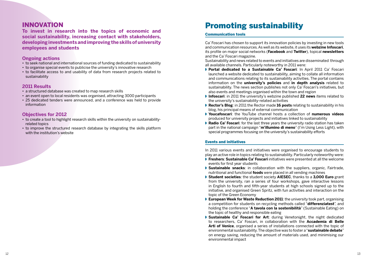### **INNOVATION**

**To invest in research into the topics of economic and social sustainability, increasing contact with stakeholders, developing investments and improving the skills of university employees and students**

#### **Ongoing actions**

- to seek national and international sources of funding dedicated to sustainability
- to organise special events to publicise the university's innovative research
- to facilitate access to and usability of data from research projects related to sustainability

#### **2011 Results**

- a structured database was created to map research skills
- an event open to local residents was organised, attracting 3000 participants
- 25 dedicated tenders were announced, and a conference was held to provide information

#### **Objectives for 2012**

- to create a tool to highlight research skills within the university on sustainabilityrelated topics
- to improve the structured research database by integrating the skills platform with the institution's website

# Promoting sustainability

#### Communication tools

Ca' Foscari has chosen to support its innovation policies by investing in new tools and communication resources. As well as its website, it uses its **webzine Infoscari**, its profile on major social networks (**Facebook** and **Twitter**), topical **newsletters** and the Ca' Foscari magazine.

Sustainability and news related to events and initiatives are disseminated through all available channels. Particularly noteworthy in 2011 were:

- ◗ **Portal dedicated to a Sustainable Ca' Foscari**: In April 2011 Ca' Foscari launched a website dedicated to sustainability, aiming to collate all information and communications relating to its sustainability activities. The portal contains information on the **university's policies** and **in depth analysis** related to sustainability. The news section publishes not only Ca' Foscari's initiatives, but also events and meetings organised within the town and region
- ◗ **Infoscari**: in 2011 the university's webzine published **22 news** items related to the university's sustainability-related activities
- ◗ **Rector's Blog**: in 2011 the Rector made **16 posts** relating to sustainability in his blog, his principal means of external communication
- ◗ **Youcafoscari**: the YouTube channel hosts a collection of **numerous videos** produced for university projects and initiatives linked to sustainability
- **▶ Radio Ca' Foscari**: for the last three years the university radio station has taken part in the national campaign "**m'illumino di meno**" (I'm Using Less Light), with special programmes focusing on the university's sustainability efforts

#### Events and initiatives

In 2011 various events and initiatives were organised to encourage students to play an active role in topics relating to sustainability. Particularly noteworthy were:

- ◗ **Freshers**: **Sustainable Ca' Foscari** initiatives were presented at all the welcome events for first year students
- **Sustainable snacks:** in collaboration with the suppliers, organic, Fairtrade, nutritional and functional **foods** were placed in all vending machines
- ◗ **Student societies**: the student society **AIESEC**, thanks to a **3,000 Euro** grant from the university, ran a series of four workshops, gave interactive lessons in English to fourth and fifth-year students at high schools signed up to the initiative, and organised Green Spritz, with fun activities and interaction on the topic of the Green Economy
- **▶ European Week for Waste Reduction 2011**: the university took part, organising a competition for students on recycling methods called "**differenziatest**", and holding the conference "**A tavola con la sostenibilità**" (Sustainable Eating) on the topic of healthy and responsible eating
- ◗ **Sustainable Ca' Foscari for Art**: during Venetonight, the night dedicated to researchers, Ca' Foscari, in collaboration with the **Accademia di Belle Arti of Venice**, organised a series of installations connected with the topic of environmental sustainability. The objective was to foster a "**sustainable debate**" on energy saving, reducing the amount of materials used, and minimising our environmental impact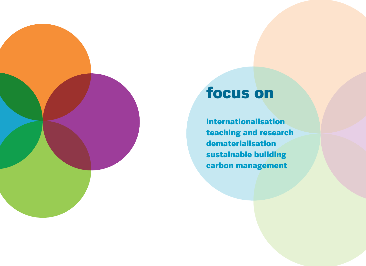

# focus on

internationalisation teaching and research dematerialisation sustainable building carbon management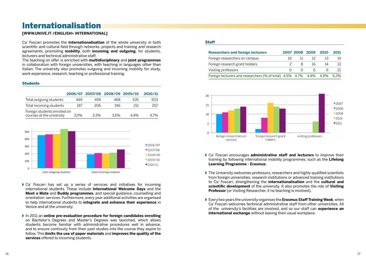# Internationalisation

#### **[WWW.UNIVE.IT /ENGLISH> INTERNATIONAL]**

Ca' Foscari promotes the **internationalisation** of the whole university in both scientific and cultural field through networks, projects and training and research agreements, promoting **mobility**, both **incoming and outgoing**, for students, lecturers and technical administrative staff.

The teaching on offer is enriched with **multidisciplinary** and **joint programmes** in collaboration with foreign universities, with teaching in languages other than Italian. The university also promotes outgoing and incoming mobility for study, work experience, research, teaching or professional training.

#### **Students**

|                                                           |         |         | 2006/07 2007/08 2008/09 2009/10 |         | 2010/11 |
|-----------------------------------------------------------|---------|---------|---------------------------------|---------|---------|
| Total outgoing students                                   | 449     | 459     | 468                             | 535     | 503     |
| Total incoming students                                   | 187     | 206     | 196                             | 211     | 257     |
| Foreign students enrolled on<br>courses at the university | $3.0\%$ | $3.3\%$ | 3.6%                            | $4.4\%$ | 4.7%    |



- ◗ Ca' Foscari has set up a series of services and initiatives for incoming international students. These include **International Welcome Days** and the **Meet a Mate** and **Buddy programmes**, and special guidance, counselling and orientation services. Furthermore, every year additional activities are organised to help international students to **integrate and enhance their experience** in Venice and at the university.
- ◗ In 2011 an **online pre-evaluation procedure for foreign candidates enrolling** on Bachelor's Degrees and Master's Degrees was launched, which allows students become familiar with administrative procedures well in advance, and to ensure continuity from their past studies into the course they aspire to follow. This **limits the use of paper materials** and **improves the quality of the services** offered to incoming students.

#### **Staff**

| <b>Researchers and foreign lecturers</b>                                |               |    | 2007 2008 2009   | 2010 | 2011 |
|-------------------------------------------------------------------------|---------------|----|------------------|------|------|
| Foreign researchers on campus                                           | 10            | 11 | -12              |      | 14   |
| Foreign research grant holders                                          | $\mathcal{P}$ |    | 16<br>8          | 14   |      |
| Visiting professors                                                     |               |    | $\left( \right)$ | h    |      |
| Foreign lecturers and researchers (% of total) 4.5% 4.7% 4.4% 4.9% 5.2% |               |    |                  |      |      |



- ◗ Ca' Foscari encourages **administrative staff and lecturers** to improve their training by following international mobility programmes, such as the **Lifelong Learning Programme - Erasmus**.
- ◗ The University welcomes professors, researchers and highly qualified scientists from foreign universities, research institutions or advanced training institutions to Ca' Foscari, strengthening the **internationalisation** and the **cultural and scientific development** of the university. It also promotes the role of **Visiting Professor** (or Visiting Researcher, if no teaching is involved).
- ◗ Every two years the university organises the **Erasmus Staff Training Week**, when Ca' Foscari welcomes technical administrative staff from other universities. All of the university's facilities are involved, and so our staff can **experience an international exchange** without leaving their usual workplace.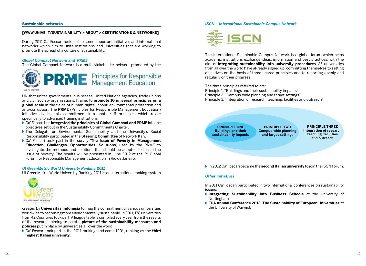#### Sustainable networks

#### **[WWW.UNIVE.IT/SUSTAINABILITY > ABOUT > CERTIFICATIONS & NETWORKS]**

During 2011 Ca' Foscari took part in some important initiatives and international networks which aim to unite institutions and universities that are working to promote the spread of a culture of sustainability.

#### *Global Compact Network and PRME*

The Global Compact Network is a multi-stakeholder network promoted by the



UN that unites governments, businesses, United Nations agencies, trade unions and civil society organisations. It aims to **promote 10 universal principles on a global scale** in the fields of human rights, labour, environmental protection and anti-corruption. The **PRME** (Principles for Responsible Management Education) initiative divides this commitment into another 6 principles which relate specifically to advanced training institutions.

- ◗ Ca' Foscari has **integrated the principles of Global Compact and PRME** into the objectives set out in the Sustainability Commitments Charter.
- ◗ The Delegate on Environmental Sustainability and the University's Social Responsibility participated in the **Steering Committee** of Network Italy.
- ◗ Ca' Foscari took part in the survey '**The Issue of Poverty in Management Education. Challenges. Opportunities. Solutions**', used by the PRME to investigate the methods and solutions that should be adopted to tackle the issue of poverty. The results will be presented in June 2012 at the 3<sup>rd</sup> Global Forum for Responsible Management Education in Rio de Janeiro.

#### *UI GreenMetric World University Ranking 2011*

UI GreenMetric World University Ranking 2011 is an international ranking system



created by **Universitas Indonesia** to map the commitment of various universities worldwide to becoming more environmentally sustainable. In 2011, 178 universities from 42 Countries took part. A league table is compiled every year from the results of the research, aiming to paint a **picture of the sustainability measures and policies** put in place by universities all over the world.

■ Ca' Foscari took part in the 2011 ranking, and came 120<sup>th</sup>, ranking as the **third highest Italian university**.

#### *ISCN – International Sustainable Campus Network*



The International Sustainable Campus Network is a global forum which helps academic institutions exchange ideas, information and best practices, with the aim of **integrating sustainability into university procedures**. 25 universities from all over the world have al-ready signed up, committing themselves to setting objectives on the basis of three shared principles and to reporting openly and regularly on their progress.

The three principles referred to are:

Principle 1. "Buildings and their sustainability impacts" Principle 2. "Campus-wide planning and target settings" Principle 3. "Integration of research, teaching, facilities and outreach"

**PRINCIPLE ONE Buildings and their sustainability impacts**

**PRINCIPLE TWO Campus-wide planning and target settings**

**PRINCIPLE THREE Integration of research teaching, facilities and outreach**

◗ In 2012 Ca' Foscari became the **second Italian university** to join the ISCN Forum.

#### *Other initiatives*

In 2011 Ca' Foscari participated in two international conferences on sustainability issues:

- ◗ **Integrating Sustainability into Business Schools** at the University of Nottingham
- ◗ **EUA Annual Conference 2012: The Sustainability of European Universities** at the University of Warwick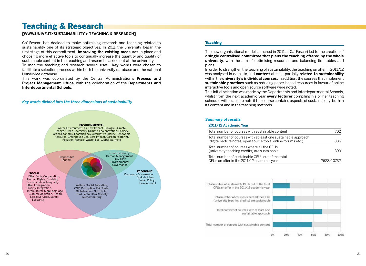# Teaching & Research

#### **[WWW.UNIVE.IT/SUSTAINABILITY > TEACHING & RESEARCH]**

Ca' Foscari has decided to make optimising research and teaching related to sustainability one of its strategic objectives. In 2011 the university began the first stage of this commitment, **improving the existing measures** in place and choosing more effective tools to continually increase the quantity and quality of sustainable content in the teaching and research carried out at the university. To map the teaching and research several useful **key words** were chosen to facilitate a selection process within both the university database and the national Uniservice database.

This work was coordinated by the Central Administration's **Process and Project Management Office**, with the collaboration of the **Departments and Interdepartmental Schools**.

#### *Key words divided into the three dimensions of sustainability*



#### **Teaching**

The new organisational model launched in 2011 at Ca' Foscari led to the creation of a **single centralised committee that plans the teaching offered by the whole university**, with the aim of optimising resources and balancing timetables and plans.

In order to strengthen the teaching of sustainability, the teaching on offer in 2011/12 was analysed in detail to find **content** at least partially **related to sustainability** within the **university's individual courses.** In addition, the courses that implement **sustainable practices** such as reducing paper-based resources in favour of online interactive tools and open source software were noted.

This initial selection was made by the Departments and Interdepartmental Schools, whilst from the next academic year **every lecturer** compiling his or her teaching schedule will be able to note if the course contains aspects of sustainability, both in its content and in the teaching methods.

#### *Summary of results*

#### **2011/12 Academic Year**

| Total number of courses with sustainable content                                                                                 | 702        |
|----------------------------------------------------------------------------------------------------------------------------------|------------|
| Total number of courses with at least one sustainable approach<br>(digital lecture notes, open source tools, online forums etc.) | 886        |
| Total number of courses where all the CFUs<br>(university teaching credits) are sustainable                                      | 393        |
| Total number of sustainable CFUs out of the total<br>CFUs on offer in the 2011/12 academic year                                  | 2683/10732 |

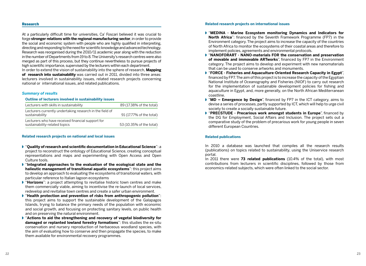#### Research

At a particularly difficult time for universities, Ca' Foscari believed it was crucial to forge **stronger relations with the regional manufacturing sector**, in order to provide the social and economic system with people who are highly qualified in interpreting, directing and responding to the need for scientific knowledge and advanced technology. Research was reorganised during the 2010/11 academic year along with the reduction in the number of Departments from 19 to 8. The University's research centres were also merged as part of this process, but they continue nevertheless to pursue projects of high scientific importance, supervised by the lecturers within each department. In order to extend the vision of sustainability into the sphere of research, **Mapping of research into sustainability** was carried out in 2011, divided into three areas: lecturers involved in sustainability issues, related research projects concerning national or international issues, and related publications.

#### *Summary of results*

#### **Outline of lecturers involved in sustainability issues**

| Lecturers with skills in sustainability                                            | 89 (17.38% of the total) |
|------------------------------------------------------------------------------------|--------------------------|
| Lecturers currently undertaking research in the field of<br>sustainability         | 91 (17.77% of the total) |
| Lecturers who have received financial support for<br>sustainability-related topics | 53 (10.35% of the total) |

#### **Related research projects on national and local issues**

- ◗ "**Quality of research and scientific documentation in Educational Science**": a project to reconstruct the ontology of Educational Science, creating conceptual representations and maps and experimenting with Open Access and Open Culture tools.
- ◗ "**Integrated approaches to the evaluation of the ecological state and the halieutic management of transitional aquatic ecosystems**": this project aims to develop an approach to evaluating the ecosystems of transitional waters, with particular reference to Italian lagoon ecosystems
- ◗ "**Horizons**": a project attempting to revitalise historic town centres and make them commercially viable, aiming to incentivise the re-launch of local services, redevelop and revitalise town centres and create a safer urban environment.
- ◗ "**Health protection and prevention of risks from anthropogenic pollution**": this project aims to support the sustainable development of the Galapagos Islands, trying to balance the primary needs of the population with economic and social growth, and focusing on protecting sanitary levels, on public health and on preserving the natural environment.
- ◗ "**Actions to aid the strengthening and recovery of vegetal biodiversity for damaged or replanted lowland forestry formations**": this studies the ex-situ conservation and nursery reproduction of herbaceous woodland species, with the aim of evaluating how to conserve and then propagate the species, to make them available for environmental recovery programmes.

#### **Related research projects on international issues**

- ◗ "**MEDINA Marine Ecosystem monitoring Dynamics and Indicators for North Africa**": financed by the Seventh Framework Programme (FP7) in the Environment category. The project aims to increase the capacity of the countries of North Africa to monitor the ecosystems of their coastal areas and therefore to implement policies, agreements and environmental protocols.
- ◗ "**NANOFORART NANO-materials FOR the conservation and preservation of movable and immovable ARTworks**", financed by FP7 in the Environment category. The project aims to develop and experiment with new nanomaterials that can be used to conserve artworks and monuments.
- ◗ "**FORCE Fisheries and Aquaculture-Oriented Research Capacity in Egypt**", financed by FP7. The aim of this project is to increase the capacity of the Egyptian National Institute of Oceanography and Fisheries (NIOF) to carry out research for the implementation of sustainable development policies for fishing and aquaculture in Egypt, and, more generally, on the North African Mediterranean coastline.
- ◗ "**MD Emergence by Design**", financed by FP7 in the ICT category, aims to devise a series of processes, partly supported by ICT, which will help to urge civil society to create a socially sustainable future.
- ◗ "**PRECSTUDE Precarious work amongst students in Europe**", financed by the DG for Employment, Social Affairs and Inclusion. The project sets out a comparative study of the problem of precarious work for young people in seven different European Countries.

#### **Related publications**

In 2010 a database was launched that compiles all the research results (publications) on topics related to sustainability, using the Uniservice research portal.

In 2011 there were **73 related publications** (10.4% of the total), with most contributions from lecturers in scientific disciplines, followed by those from economics-related subjects, which were often linked to the social sector.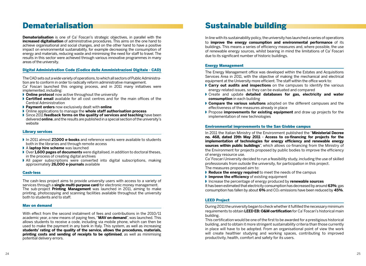# Dematerialisation

**Dematerialisation** is one of Ca' Foscari's strategic objectives, in parallel with the **increased digitalisation** of administrative procedures. This aims on the one hand to achieve organisational and social changes, and on the other hand to have a positive impact on environmental sustainability, for example decreasing the consumption of energy and materials, reducing waste and minimising the need for staff to travel. The results in this sector were achieved through various innovative programmes in many areas of the university.

#### Digital Administration Code (Codice delle Amministrazioni Digitale - CAD)

The CAD sets out a wide variety of operations, to which all sectors of Public Administration are to conform in order to radically reform administrative management. Ca' Foscari launched this ongoing process, and in 2011 many initiatives were implemented, including:

- ◗ **Online protocol** now active throughout the university
- **Certified email** available for all cost centres and for the main offices of the Central Administration
- ◗ **Payment orders** now exclusively dealt with **online**
- ◗ Online applications to manage the **whole staff authorisation process**
- ◗ Since 2011 **feedback forms on the quality of services and teaching** have been delivered **online**, and the results are published in a special section of the university's website

#### Library services

- ◗ In 2011 almost **27,000 e-books** and reference works were available to students both in the libraries and through remote access
- ◗ A **laptop hire scheme** was launched
- ◗ Over **1,600 pages of documents** were digitalised, in addition to doctoral theses, in the process of creating digital archives
- ◗ All paper subscriptions were converted into digital subscriptions, making approximately **26,000 e-journals** available

#### Cash-less

The cash-less project aims to provide university users with access to a variety of services through a **single multi-purpose card** for electronic money management. The sub-project **Printing Management** was launched in 2011, aiming to make printing, photocopying and scanning facilities available throughout the university both to students and to staff.

#### Mav on demand

With effect from the second instalment of fees and contributions in the 2010/11 academic year, a new means of paying fees, "**MAV on demand**", was launched. This allows students to receive a code, including via mobile phone, which can then be used to make the payment in any bank in Italy. This system, as well as increasing **students' rating of the quality of the service, allows the procedures, materials, printing costs and sending of receipts to be optimised**, as well as minimising potential delivery errors.

## Sustainable building

In line with its sustainability policy, the university has launched a series of operations to **improve the energy consumption and environmental performance** of its buildings. This means a series of efficiency measures and, where possible, the use of renewable energy sources, whilst bearing in mind the limitations of Ca' Foscari due to its significant number of historic buildings.

#### Energy Management

The Energy Management office was developed within the Estates and Acquisitions Services Area in 2011, with the objective of making the mechanical and electrical equipment at the University more efficient. The staff within the office work to:

- **▶ Carry out audits and inspections** on the campuses to identify the various energy-related issues, so they can be evaluated and compared
- ◗ Create and update **detailed databases for gas, electricity and water consumption** in each building
- ◗ **Compare the various solutions** adopted on the different campuses and the effectiveness of the measures already in place
- ◗ Propose **improvements for existing equipment** and draw up projects for the implementation of new technologies

#### Environmental improvements to the San Giobbe campus

In 2011 the Italian Ministry of the Environment published the "**Ministerial Decree no. 468, dated 19th May 2011 - Access to co-financing for projects for the implementation of technologies for energy efficiency and renewable energy sources within public buildings**", which allows co-financing from the Ministry of the Environment for projects proposed by public bodies to improve the efficiency of energy resource use.

Ca' Foscari University decided to run a feasibility study, including the use of skilled professionals from outside the university, for participation in this project.

- The measures proposed aim to:
- ◗ **Reduce the energy required** to meet the needs of the campus
- **Improve the efficiency** of existing equipment
- ◗ Increase the percentage of energy produced by **renewable sources**

It has been estimated that electricity consumption has decreased by around **63%**; gas consumption has fallen by about **6%** and CO2 emissions have been reduced by **45%**.

#### LEED Project

During 2011 the university began to check whether it fulfilled the necessary minimum requirements to obtain **LEED EB: O&M certification** for Ca' Foscari's historical main building.

This certification would be one of the first to be awarded for a prestigious historical building, and to obtain it more stringent sustainability criteria than those currently in place will have to be adopted. From an organisational point of view the work will create healthier studying and working spaces, contributing to improved productivity, health, comfort and safety for its users.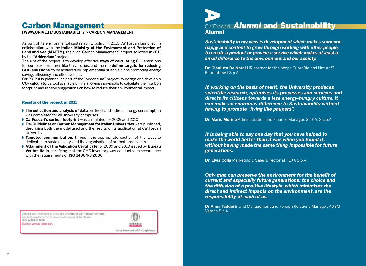# Carbon Management

#### **[WWW.UNIVE.IT/SUSTAINABILITY > CARBON MANAGEMENT]**

As part of its environmental sustainability policy, in 2010 Ca' Foscari launched, in collaboration with the **Italian Ministry of the Environment and Protection of Land and Sea (MATTM)**, the pilot "Carbon Management" project, followed in 2011 by the "**Addendum**" project.

The aim of the project is to develop effective **ways of calculating** CO<sub>2</sub> emissions for complex structures like Universities, and then to **define targets for reducing GHG emissions**, to be achieved by implementing suitable plans promoting energy saving, efficiency and effectiveness.

For 2012 it is planned, as part of the "Addendum" project, to design and develop a **CO2 calculator**, a tool available online allowing individuals to calculate their carbon footprint and receive suggestions on how to reduce their environmental impact.

#### Results of the project in 2011

- ◗ The **collection and analysis of data** on direct and indirect energy consumption was completed for all university campuses
- ◗ **Ca' Foscari's carbon footprint** was calculated for 2009 and 2010
- ◗ The **Guidelines on Carbon Management for Italian Universities** were published, describing both the model used and the results of its application at Ca' Foscari **University**
- ◗ **Targeted communication**, through the appropriate section of the website dedicated to sustainability, and the organisation of promotional events
- ◗ **Attainment of the Validation Certificate** for 2009 and 2010 issued by **Bureau Veritas Italia**, certifying that the GHG inventory was conducted in accordance with the requirements of **ISO 14064-3:2006**

Verifica dell'Inventario di GHG dell'Università Ca<sup>+</sup> Foscari Venezia condotta conformemente ai requisiti previsti dalla Norma ISO 14064-3:2006 Bureau Veritas Italia SpA



Move Forward with Confidence



### Ca'Foscari *Alumni* and Sustainability Alumni

*Sustainability in my view is development which makes someone happy and content to grow through working with other people, to create a product or provide a service which makes at least a small difference to the environment and our society.*

**Dr. Gianluca De Nardi** HR partner for the shops CuoreBio and NaturaSì, Ecornaturasi S.p.A.

*If, working on the basis of merit, the University produces scientific research, optimises its processes and services and directs its citizens towards a less energy-hungry culture, it can make an enormous difference to Sustainability without having to promote "living like paupers".*

**Dr. Mario Morino** Administration and Finance Manager, S.I.F.A. S.c.p.A.

*It is being able to say one day that you have helped to make the world better than it was when you found it, without having made the same thing impossible for future generations.*

**Dr. Elvis Colla** Marketing & Sales Director at TEXA S.p.A.

*Only man can preserve the environment for the benefit of current and especially future generations: the choice and the diffusion of a positive lifestyle, which minimises the direct and indirect impacts on the environment, are the responsibility of each of us.*

**Dr Anna Taddei** Brand Management and Foreign Relations Manager, AGSM Verona S.p.A.